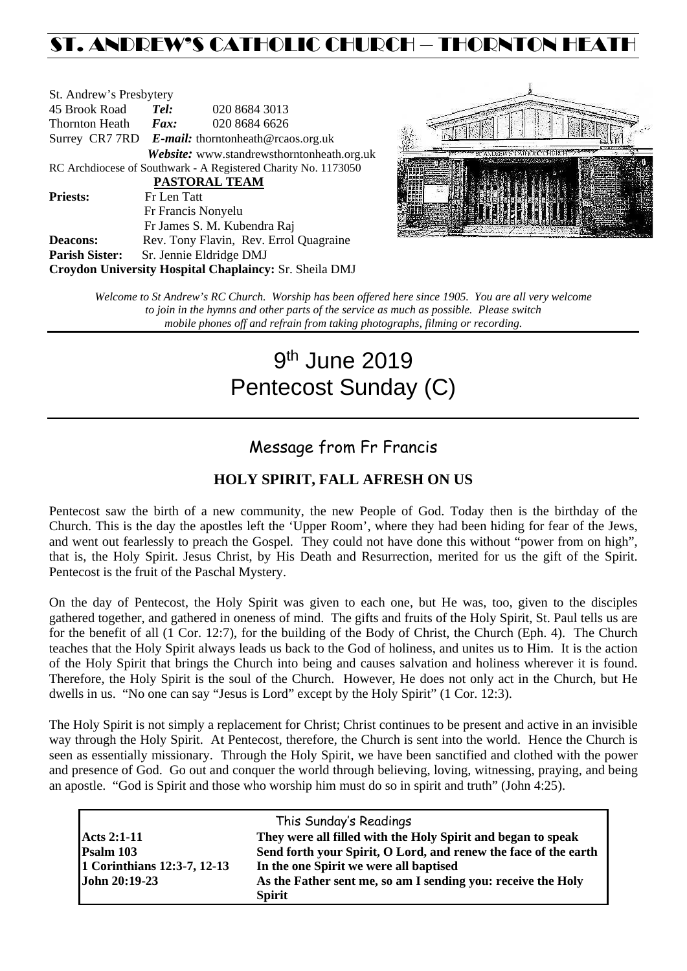# ST. ANDREW'S CATHOLIC CHURCH – THORNTON HEATH

| St. Andrew's Presbytery                                        |                                                   |                                            |  |  |  |
|----------------------------------------------------------------|---------------------------------------------------|--------------------------------------------|--|--|--|
| 45 Brook Road                                                  | Tel:                                              | 020 8684 3013                              |  |  |  |
| <b>Thornton Heath</b>                                          | Fax:                                              | 020 8684 6626                              |  |  |  |
|                                                                | Surrey CR7 7RD E-mail: thorntonheath@rcaos.org.uk |                                            |  |  |  |
|                                                                |                                                   | Website: www.standrewsthorntonheath.org.uk |  |  |  |
| RC Archdiocese of Southwark - A Registered Charity No. 1173050 |                                                   |                                            |  |  |  |
| PASTORAL TEAM                                                  |                                                   |                                            |  |  |  |
| <b>Priests:</b>                                                | Fr Len Tatt                                       |                                            |  |  |  |
|                                                                |                                                   | Fr Francis Nonyelu                         |  |  |  |
|                                                                |                                                   | Fr James S. M. Kubendra Raj                |  |  |  |
| <b>Deacons:</b>                                                |                                                   | Rev. Tony Flavin, Rev. Errol Quagraine     |  |  |  |
| <b>Parish Sister:</b>                                          |                                                   | Sr. Jennie Eldridge DMJ                    |  |  |  |
| Croydon University Hospital Chaplaincy: Sr. Sheila DMJ         |                                                   |                                            |  |  |  |



*Welcome to St Andrew's RC Church. Worship has been offered here since 1905. You are all very welcome to join in the hymns and other parts of the service as much as possible. Please switch mobile phones off and refrain from taking photographs, filming or recording.*

# 9th June 2019 Pentecost Sunday (C)

# Message from Fr Francis

# **HOLY SPIRIT, FALL AFRESH ON US**

Pentecost saw the birth of a new community, the new People of God. Today then is the birthday of the Church. This is the day the apostles left the 'Upper Room', where they had been hiding for fear of the Jews, and went out fearlessly to preach the Gospel. They could not have done this without "power from on high", that is, the Holy Spirit. Jesus Christ, by His Death and Resurrection, merited for us the gift of the Spirit. Pentecost is the fruit of the Paschal Mystery.

On the day of Pentecost, the Holy Spirit was given to each one, but He was, too, given to the disciples gathered together, and gathered in oneness of mind. The gifts and fruits of the Holy Spirit, St. Paul tells us are for the benefit of all (1 Cor. 12:7), for the building of the Body of Christ, the Church (Eph. 4). The Church teaches that the Holy Spirit always leads us back to the God of holiness, and unites us to Him. It is the action of the Holy Spirit that brings the Church into being and causes salvation and holiness wherever it is found. Therefore, the Holy Spirit is the soul of the Church. However, He does not only act in the Church, but He dwells in us. "No one can say "Jesus is Lord" except by the Holy Spirit" (1 Cor. 12:3).

The Holy Spirit is not simply a replacement for Christ; Christ continues to be present and active in an invisible way through the Holy Spirit. At Pentecost, therefore, the Church is sent into the world. Hence the Church is seen as essentially missionary. Through the Holy Spirit, we have been sanctified and clothed with the power and presence of God. Go out and conquer the world through believing, loving, witnessing, praying, and being an apostle. "God is Spirit and those who worship him must do so in spirit and truth" (John 4:25).

|                             | This Sunday's Readings                                          |  |  |
|-----------------------------|-----------------------------------------------------------------|--|--|
| <b>Acts 2:1-11</b>          | They were all filled with the Holy Spirit and began to speak    |  |  |
| Psalm 103                   | Send forth your Spirit, O Lord, and renew the face of the earth |  |  |
| 1 Corinthians 12:3-7, 12-13 | In the one Spirit we were all baptised                          |  |  |
| John 20:19-23               | As the Father sent me, so am I sending you: receive the Holy    |  |  |
|                             | <b>Spirit</b>                                                   |  |  |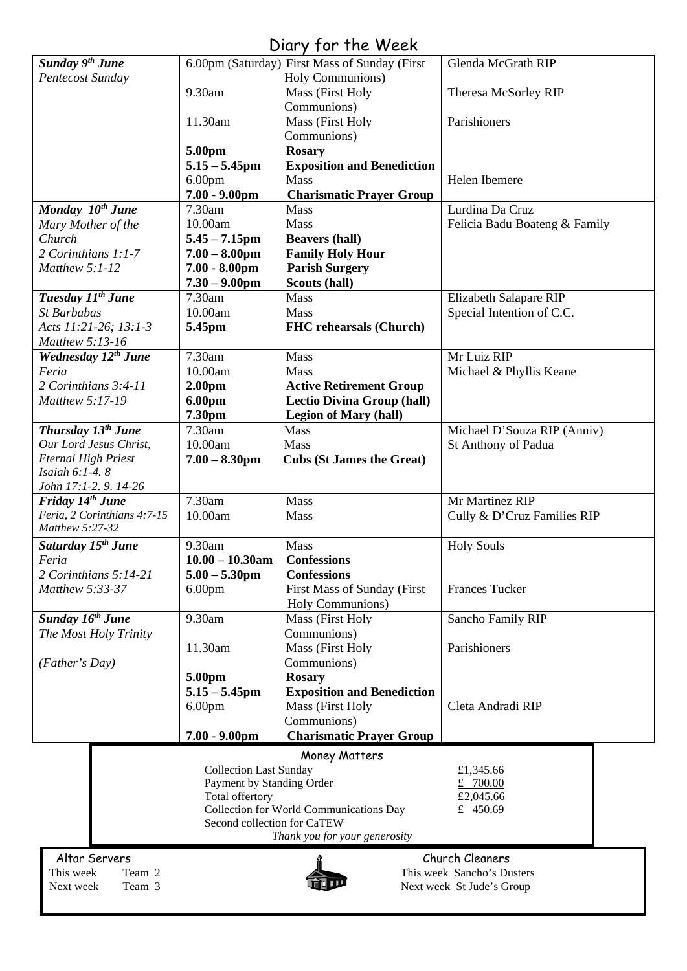# Diary for the Week

|                                                     |                               | UNIY JUI IIIC WEEN                            |                               |  |  |
|-----------------------------------------------------|-------------------------------|-----------------------------------------------|-------------------------------|--|--|
| Sunday 9 <sup>th</sup> June                         |                               | 6.00pm (Saturday) First Mass of Sunday (First | Glenda McGrath RIP            |  |  |
| Pentecost Sunday                                    |                               | Holy Communions)                              |                               |  |  |
|                                                     | 9.30am                        | Mass (First Holy                              | Theresa McSorley RIP          |  |  |
|                                                     |                               | Communions)                                   |                               |  |  |
|                                                     | 11.30am                       | Mass (First Holy                              | Parishioners                  |  |  |
|                                                     |                               | Communions)                                   |                               |  |  |
|                                                     | 5.00pm                        | <b>Rosary</b>                                 |                               |  |  |
|                                                     | $5.15 - 5.45$ pm              | <b>Exposition and Benediction</b>             |                               |  |  |
|                                                     | 6.00 <sub>pm</sub>            | <b>Mass</b>                                   | Helen Ibemere                 |  |  |
|                                                     | $7.00 - 9.00$ pm              | <b>Charismatic Prayer Group</b>               |                               |  |  |
| Monday 10 <sup>th</sup> June                        | 7.30am                        | <b>Mass</b>                                   | Lurdina Da Cruz               |  |  |
| Mary Mother of the                                  | 10.00am                       | Mass                                          | Felicia Badu Boateng & Family |  |  |
| Church                                              | $5.45 - 7.15$ pm              | <b>Beavers (hall)</b>                         |                               |  |  |
| 2 Corinthians 1:1-7                                 | $7.00 - 8.00$ pm              | <b>Family Holy Hour</b>                       |                               |  |  |
| Matthew 5:1-12                                      | $7.00 - 8.00$ pm              | <b>Parish Surgery</b>                         |                               |  |  |
|                                                     | $7.30 - 9.00$ pm              | <b>Scouts (hall)</b>                          |                               |  |  |
| Tuesday 11 <sup>th</sup> June                       | 7.30am                        | <b>Mass</b>                                   | Elizabeth Salapare RIP        |  |  |
| St Barbabas                                         | 10.00am                       | Mass                                          | Special Intention of C.C.     |  |  |
| Acts 11:21-26; 13:1-3                               | 5.45pm                        | <b>FHC</b> rehearsals (Church)                |                               |  |  |
| Matthew 5:13-16                                     |                               |                                               |                               |  |  |
| Wednesday 12 <sup>th</sup> June                     | 7.30am                        | <b>Mass</b>                                   | Mr Luiz RIP                   |  |  |
| Feria                                               | 10.00am                       | Mass                                          | Michael & Phyllis Keane       |  |  |
| 2 Corinthians 3:4-11                                | 2.00 <sub>pm</sub>            | <b>Active Retirement Group</b>                |                               |  |  |
| Matthew 5:17-19                                     | 6.00pm                        | <b>Lectio Divina Group (hall)</b>             |                               |  |  |
|                                                     | 7.30pm                        | <b>Legion of Mary (hall)</b>                  |                               |  |  |
| Thursday 13 <sup>th</sup> June                      | 7.30am                        | <b>Mass</b>                                   | Michael D'Souza RIP (Anniv)   |  |  |
| Our Lord Jesus Christ,                              | 10.00am                       | Mass                                          | St Anthony of Padua           |  |  |
| <b>Eternal High Priest</b>                          | $7.00 - 8.30$ pm              | <b>Cubs (St James the Great)</b>              |                               |  |  |
| Isaiah 6:1-4.8                                      |                               |                                               |                               |  |  |
| John 17:1-2. 9. 14-26                               |                               |                                               |                               |  |  |
| Friday 14th June                                    | 7.30am                        | Mass                                          | Mr Martinez RIP               |  |  |
| Feria, 2 Corinthians 4:7-15                         | 10.00am                       | Mass                                          | Cully & D'Cruz Families RIP   |  |  |
| Matthew 5:27-32                                     |                               |                                               |                               |  |  |
| Saturday 15 <sup>th</sup> June                      | 9.30am                        | Mass                                          | <b>Holy Souls</b>             |  |  |
| Feria                                               | $10.00 - 10.30$ am            | <b>Confessions</b>                            |                               |  |  |
| 2 Corinthians 5:14-21                               | $5.00 - 5.30$ pm              | <b>Confessions</b>                            |                               |  |  |
| Matthew 5:33-37                                     | 6.00 <sub>pm</sub>            | First Mass of Sunday (First                   | <b>Frances Tucker</b>         |  |  |
|                                                     |                               | Holy Communions)                              |                               |  |  |
| Sunday 16 <sup>th</sup> June                        | 9.30am                        | Mass (First Holy                              | Sancho Family RIP             |  |  |
| The Most Holy Trinity                               |                               | Communions)                                   |                               |  |  |
|                                                     | 11.30am                       | Mass (First Holy                              | Parishioners                  |  |  |
| (Father's Day)                                      |                               | Communions)                                   |                               |  |  |
|                                                     | 5.00pm                        | <b>Rosary</b>                                 |                               |  |  |
|                                                     | $5.15 - 5.45$ pm              | <b>Exposition and Benediction</b>             |                               |  |  |
|                                                     |                               | Mass (First Holy                              | Cleta Andradi RIP             |  |  |
|                                                     | 6.00 <sub>pm</sub>            | Communions)                                   |                               |  |  |
|                                                     |                               |                                               |                               |  |  |
|                                                     | $7.00 - 9.00$ pm              | <b>Charismatic Prayer Group</b>               |                               |  |  |
|                                                     |                               | Money Matters                                 |                               |  |  |
|                                                     | <b>Collection Last Sunday</b> |                                               | £1,345.66                     |  |  |
|                                                     | Payment by Standing Order     |                                               | £ 700.00                      |  |  |
|                                                     | Total offertory               |                                               | £2,045.66                     |  |  |
| Collection for World Communications Day<br>£ 450.69 |                               |                                               |                               |  |  |
| Second collection for CaTEW                         |                               |                                               |                               |  |  |
|                                                     |                               | Thank you for your generosity                 |                               |  |  |
| Altar Servers                                       |                               |                                               | Church Cleaners               |  |  |
| Team 2<br>This week                                 |                               |                                               | This week Sancho's Dusters    |  |  |
| Team 3<br>Next week                                 |                               |                                               | Next week St Jude's Group     |  |  |
|                                                     |                               |                                               |                               |  |  |
|                                                     |                               |                                               |                               |  |  |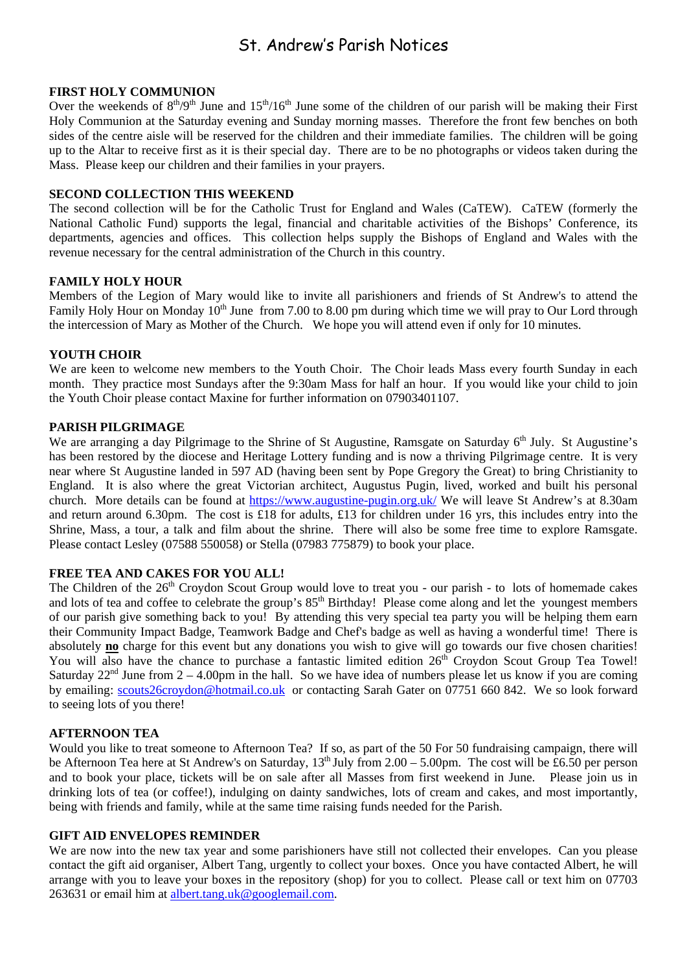# St. Andrew's Parish Notices

# **FIRST HOLY COMMUNION**

Over the weekends of  $8<sup>th</sup>/9<sup>th</sup>$  June and  $15<sup>th</sup>/16<sup>th</sup>$  June some of the children of our parish will be making their First Holy Communion at the Saturday evening and Sunday morning masses. Therefore the front few benches on both sides of the centre aisle will be reserved for the children and their immediate families. The children will be going up to the Altar to receive first as it is their special day. There are to be no photographs or videos taken during the Mass. Please keep our children and their families in your prayers.

# **SECOND COLLECTION THIS WEEKEND**

The second collection will be for the Catholic Trust for England and Wales (CaTEW). CaTEW (formerly the National Catholic Fund) supports the legal, financial and charitable activities of the Bishops' Conference, its departments, agencies and offices. This collection helps supply the Bishops of England and Wales with the revenue necessary for the central administration of the Church in this country.

#### **FAMILY HOLY HOUR**

Members of the Legion of Mary would like to invite all parishioners and friends of St Andrew's to attend the Family Holy Hour on Monday 10<sup>th</sup> June from 7.00 to 8.00 pm during which time we will pray to Our Lord through the intercession of Mary as Mother of the Church. We hope you will attend even if only for 10 minutes.

# **YOUTH CHOIR**

We are keen to welcome new members to the Youth Choir. The Choir leads Mass every fourth Sunday in each month. They practice most Sundays after the 9:30am Mass for half an hour. If you would like your child to join the Youth Choir please contact Maxine for further information on 07903401107.

# **PARISH PILGRIMAGE**

We are arranging a day Pilgrimage to the Shrine of St Augustine, Ramsgate on Saturday  $6<sup>th</sup>$  July. St Augustine's has been restored by the diocese and Heritage Lottery funding and is now a thriving Pilgrimage centre. It is very near where St Augustine landed in 597 AD (having been sent by Pope Gregory the Great) to bring Christianity to England. It is also where the great Victorian architect, Augustus Pugin, lived, worked and built his personal church. More details can be found at<https://www.augustine-pugin.org.uk/> We will leave St Andrew's at 8.30am and return around 6.30pm. The cost is £18 for adults, £13 for children under 16 yrs, this includes entry into the Shrine, Mass, a tour, a talk and film about the shrine. There will also be some free time to explore Ramsgate. Please contact Lesley (07588 550058) or Stella (07983 775879) to book your place.

# **FREE TEA AND CAKES FOR YOU ALL!**

The Children of the 26<sup>th</sup> Croydon Scout Group would love to treat you - our parish - to lots of homemade cakes and lots of tea and coffee to celebrate the group's 85<sup>th</sup> Birthday! Please come along and let the youngest members of our parish give something back to you! By attending this very special tea party you will be helping them earn their Community Impact Badge, Teamwork Badge and Chef's badge as well as having a wonderful time! There is absolutely **no** charge for this event but any donations you wish to give will go towards our five chosen charities! You will also have the chance to purchase a fantastic limited edition 26<sup>th</sup> Croydon Scout Group Tea Towel! Saturday  $22<sup>nd</sup>$  June from  $2 - 4.00$ pm in the hall. So we have idea of numbers please let us know if you are coming by emailing: [scouts26croydon@hotmail.co.uk](mailto:scouts26croydon@hotmail.co.uk) or contacting Sarah Gater on 07751 660 842. We so look forward to seeing lots of you there!

# **AFTERNOON TEA**

Would you like to treat someone to Afternoon Tea? If so, as part of the 50 For 50 fundraising campaign, there will be Afternoon Tea here at St Andrew's on Saturday,  $13<sup>th</sup>$  July from 2.00 – 5.00pm. The cost will be £6.50 per person and to book your place, tickets will be on sale after all Masses from first weekend in June. Please join us in drinking lots of tea (or coffee!), indulging on dainty sandwiches, lots of cream and cakes, and most importantly, being with friends and family, while at the same time raising funds needed for the Parish.

#### **GIFT AID ENVELOPES REMINDER**

We are now into the new tax year and some parishioners have still not collected their envelopes. Can you please contact the gift aid organiser, Albert Tang, urgently to collect your boxes. Once you have contacted Albert, he will arrange with you to leave your boxes in the repository (shop) for you to collect. Please call or text him on 07703 263631 or email him at [albert.tang.uk@googlemail.com.](mailto:albert.tang.uk@googlemail.com)